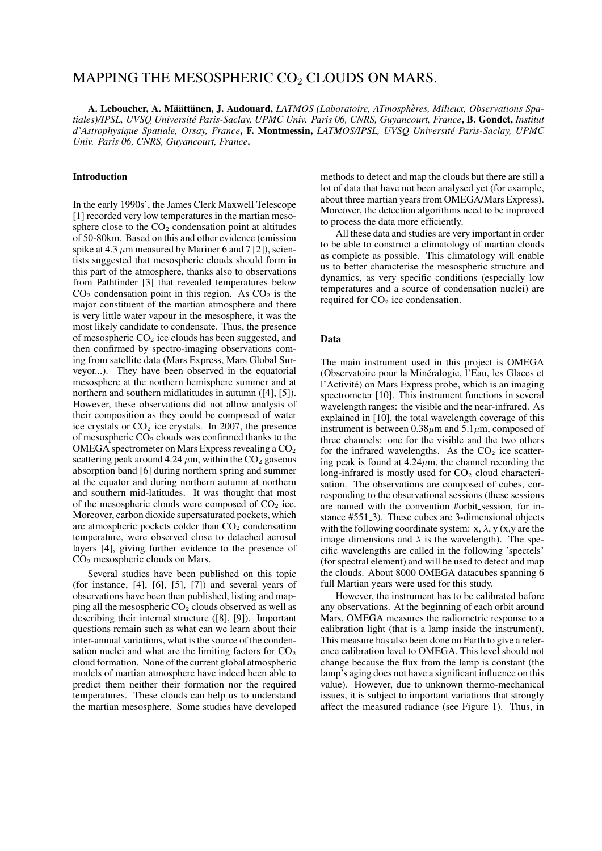# MAPPING THE MESOSPHERIC  $CO<sub>2</sub>$  CLOUDS ON MARS.

A. Leboucher, A. Määttänen, J. Audouard, *LATMOS (Laboratoire, ATmospheres, Milieux, Observations Spa- ` tiales)/IPSL, UVSQ Université Paris-Saclay, UPMC Univ. Paris 06, CNRS, Guyancourt, France*, B. Gondet, *Institut d'Astrophysique Spatiale, Orsay, France*, F. Montmessin, *LATMOS/IPSL, UVSQ Université Paris-Saclay, UPMC Univ. Paris 06, CNRS, Guyancourt, France*.

# Introduction

In the early 1990s', the James Clerk Maxwell Telescope [1] recorded very low temperatures in the martian mesosphere close to the  $CO<sub>2</sub>$  condensation point at altitudes of 50-80km. Based on this and other evidence (emission spike at 4.3  $\mu$ m measured by Mariner 6 and 7 [2]), scientists suggested that mesospheric clouds should form in this part of the atmosphere, thanks also to observations from Pathfinder [3] that revealed temperatures below  $CO<sub>2</sub>$  condensation point in this region. As  $CO<sub>2</sub>$  is the major constituent of the martian atmosphere and there is very little water vapour in the mesosphere, it was the most likely candidate to condensate. Thus, the presence of mesospheric  $CO<sub>2</sub>$  ice clouds has been suggested, and then confirmed by spectro-imaging observations coming from satellite data (Mars Express, Mars Global Surveyor...). They have been observed in the equatorial mesosphere at the northern hemisphere summer and at northern and southern midlatitudes in autumn ([4], [5]). However, these observations did not allow analysis of their composition as they could be composed of water ice crystals or  $CO<sub>2</sub>$  ice crystals. In 2007, the presence of mesospheric  $CO<sub>2</sub>$  clouds was confirmed thanks to the OMEGA spectrometer on Mars Express revealing a CO<sub>2</sub> scattering peak around 4.24  $\mu$ m, within the CO<sub>2</sub> gaseous absorption band [6] during northern spring and summer at the equator and during northern autumn at northern and southern mid-latitudes. It was thought that most of the mesospheric clouds were composed of  $CO<sub>2</sub>$  ice. Moreover, carbon dioxide supersaturated pockets, which are atmospheric pockets colder than  $CO<sub>2</sub>$  condensation temperature, were observed close to detached aerosol layers [4], giving further evidence to the presence of  $CO<sub>2</sub>$  mesospheric clouds on Mars.

Several studies have been published on this topic (for instance,  $[4]$ ,  $[6]$ ,  $[5]$ ,  $[7]$ ) and several years of observations have been then published, listing and mapping all the mesospheric  $CO<sub>2</sub>$  clouds observed as well as describing their internal structure ([8], [9]). Important questions remain such as what can we learn about their inter-annual variations, what is the source of the condensation nuclei and what are the limiting factors for  $CO<sub>2</sub>$ cloud formation. None of the current global atmospheric models of martian atmosphere have indeed been able to predict them neither their formation nor the required temperatures. These clouds can help us to understand the martian mesosphere. Some studies have developed methods to detect and map the clouds but there are still a lot of data that have not been analysed yet (for example, about three martian years from OMEGA/Mars Express). Moreover, the detection algorithms need to be improved to process the data more efficiently.

All these data and studies are very important in order to be able to construct a climatology of martian clouds as complete as possible. This climatology will enable us to better characterise the mesospheric structure and dynamics, as very specific conditions (especially low temperatures and a source of condensation nuclei) are required for  $CO<sub>2</sub>$  ice condensation.

### Data

The main instrument used in this project is OMEGA (Observatoire pour la Mineralogie, l'Eau, les Glaces et ´ l'Activite) on Mars Express probe, which is an imaging ´ spectrometer [10]. This instrument functions in several wavelength ranges: the visible and the near-infrared. As explained in [10], the total wavelength coverage of this instrument is between  $0.38\mu$ m and  $5.1\mu$ m, composed of three channels: one for the visible and the two others for the infrared wavelengths. As the  $CO<sub>2</sub>$  ice scattering peak is found at  $4.24 \mu m$ , the channel recording the long-infrared is mostly used for  $CO<sub>2</sub>$  cloud characterisation. The observations are composed of cubes, corresponding to the observational sessions (these sessions are named with the convention #orbit session, for instance #551<sub>-3</sub>). These cubes are 3-dimensional objects with the following coordinate system:  $x, \lambda, y$  (x,y are the image dimensions and  $\lambda$  is the wavelength). The specific wavelengths are called in the following 'spectels' (for spectral element) and will be used to detect and map the clouds. About 8000 OMEGA datacubes spanning 6 full Martian years were used for this study.

However, the instrument has to be calibrated before any observations. At the beginning of each orbit around Mars, OMEGA measures the radiometric response to a calibration light (that is a lamp inside the instrument). This measure has also been done on Earth to give a reference calibration level to OMEGA. This level should not change because the flux from the lamp is constant (the lamp's aging does not have a significant influence on this value). However, due to unknown thermo-mechanical issues, it is subject to important variations that strongly affect the measured radiance (see Figure 1). Thus, in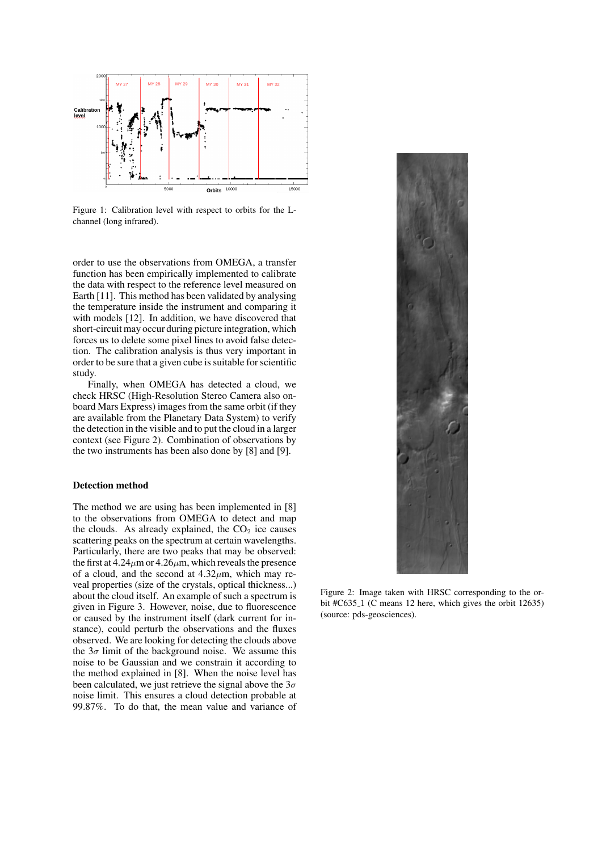

Figure 1: Calibration level with respect to orbits for the Lchannel (long infrared).

order to use the observations from OMEGA, a transfer function has been empirically implemented to calibrate the data with respect to the reference level measured on Earth [11]. This method has been validated by analysing the temperature inside the instrument and comparing it with models [12]. In addition, we have discovered that short-circuit may occur during picture integration, which forces us to delete some pixel lines to avoid false detection. The calibration analysis is thus very important in order to be sure that a given cube is suitable for scientific study.

Finally, when OMEGA has detected a cloud, we check HRSC (High-Resolution Stereo Camera also onboard Mars Express) images from the same orbit (if they are available from the Planetary Data System) to verify the detection in the visible and to put the cloud in a larger context (see Figure 2). Combination of observations by the two instruments has been also done by [8] and [9].

#### Detection method

The method we are using has been implemented in [8] to the observations from OMEGA to detect and map the clouds. As already explained, the  $CO<sub>2</sub>$  ice causes scattering peaks on the spectrum at certain wavelengths. Particularly, there are two peaks that may be observed: the first at  $4.24 \mu$ m or  $4.26 \mu$ m, which reveals the presence of a cloud, and the second at  $4.32 \mu m$ , which may reveal properties (size of the crystals, optical thickness...) about the cloud itself. An example of such a spectrum is given in Figure 3. However, noise, due to fluorescence or caused by the instrument itself (dark current for instance), could perturb the observations and the fluxes observed. We are looking for detecting the clouds above the  $3\sigma$  limit of the background noise. We assume this noise to be Gaussian and we constrain it according to the method explained in [8]. When the noise level has been calculated, we just retrieve the signal above the  $3\sigma$ noise limit. This ensures a cloud detection probable at 99.87%. To do that, the mean value and variance of



Figure 2: Image taken with HRSC corresponding to the orbit #C635<sub>-1</sub> (C means 12 here, which gives the orbit 12635) (source: pds-geosciences).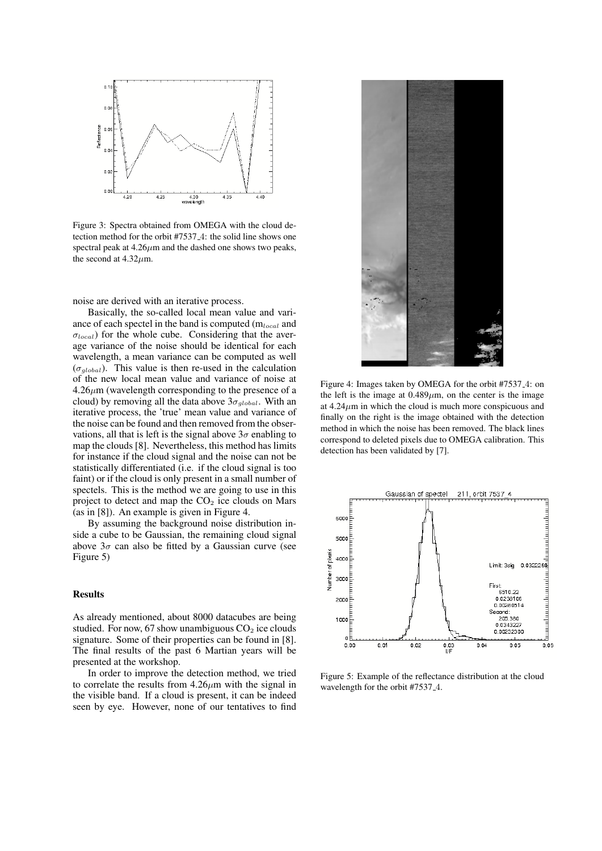

Figure 3: Spectra obtained from OMEGA with the cloud detection method for the orbit #7537 4: the solid line shows one spectral peak at  $4.26 \mu m$  and the dashed one shows two peaks, the second at  $4.32 \mu$ m.

noise are derived with an iterative process.

Basically, the so-called local mean value and variance of each spectel in the band is computed  $(m_{local}$  and  $\sigma_{local}$ ) for the whole cube. Considering that the average variance of the noise should be identical for each wavelength, a mean variance can be computed as well  $(\sigma_{alobal})$ . This value is then re-used in the calculation of the new local mean value and variance of noise at  $4.26\mu$ m (wavelength corresponding to the presence of a cloud) by removing all the data above  $3\sigma_{global}$ . With an iterative process, the 'true' mean value and variance of the noise can be found and then removed from the observations, all that is left is the signal above  $3\sigma$  enabling to map the clouds [8]. Nevertheless, this method has limits for instance if the cloud signal and the noise can not be statistically differentiated (i.e. if the cloud signal is too faint) or if the cloud is only present in a small number of spectels. This is the method we are going to use in this project to detect and map the  $CO<sub>2</sub>$  ice clouds on Mars (as in [8]). An example is given in Figure 4.

By assuming the background noise distribution inside a cube to be Gaussian, the remaining cloud signal above  $3\sigma$  can also be fitted by a Gaussian curve (see Figure 5)

# Results

As already mentioned, about 8000 datacubes are being studied. For now, 67 show unambiguous  $CO<sub>2</sub>$  ice clouds signature. Some of their properties can be found in [8]. The final results of the past 6 Martian years will be presented at the workshop.

In order to improve the detection method, we tried to correlate the results from  $4.26\mu m$  with the signal in the visible band. If a cloud is present, it can be indeed seen by eye. However, none of our tentatives to find



Figure 4: Images taken by OMEGA for the orbit #7537 4: on the left is the image at  $0.489 \mu$ m, on the center is the image at  $4.24 \mu m$  in which the cloud is much more conspicuous and finally on the right is the image obtained with the detection method in which the noise has been removed. The black lines correspond to deleted pixels due to OMEGA calibration. This detection has been validated by [7].



Figure 5: Example of the reflectance distribution at the cloud wavelength for the orbit #7537 4.